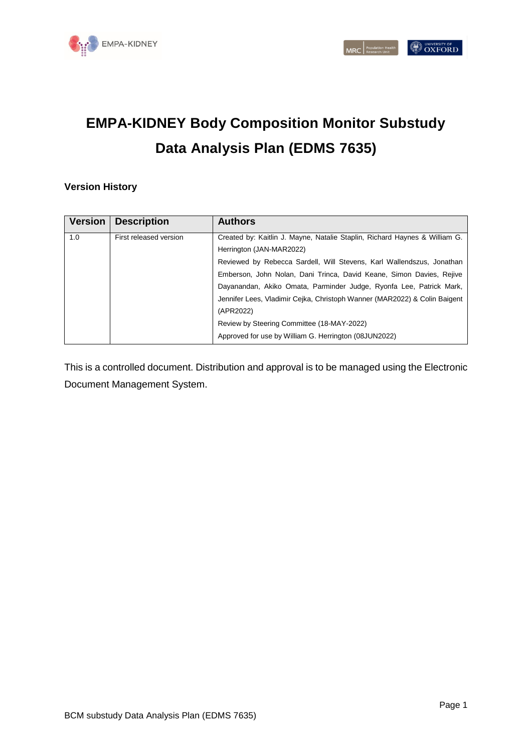

# **EMPA-KIDNEY Body Composition Monitor Substudy Data Analysis Plan (EDMS 7635)**

#### **Version History**

| <b>Version</b>                | <b>Description</b> | <b>Authors</b>                                                             |
|-------------------------------|--------------------|----------------------------------------------------------------------------|
| 1.0<br>First released version |                    | Created by: Kaitlin J. Mayne, Natalie Staplin, Richard Haynes & William G. |
|                               |                    | Herrington (JAN-MAR2022)                                                   |
|                               |                    | Reviewed by Rebecca Sardell, Will Stevens, Karl Wallendszus, Jonathan      |
|                               |                    | Emberson, John Nolan, Dani Trinca, David Keane, Simon Davies, Rejive       |
|                               |                    | Dayanandan, Akiko Omata, Parminder Judge, Ryonfa Lee, Patrick Mark,        |
|                               |                    | Jennifer Lees, Vladimir Cejka, Christoph Wanner (MAR2022) & Colin Baigent  |
|                               |                    | (APR2022)                                                                  |
|                               |                    | Review by Steering Committee (18-MAY-2022)                                 |
|                               |                    | Approved for use by William G. Herrington (08JUN2022)                      |

This is a controlled document. Distribution and approval is to be managed using the Electronic Document Management System.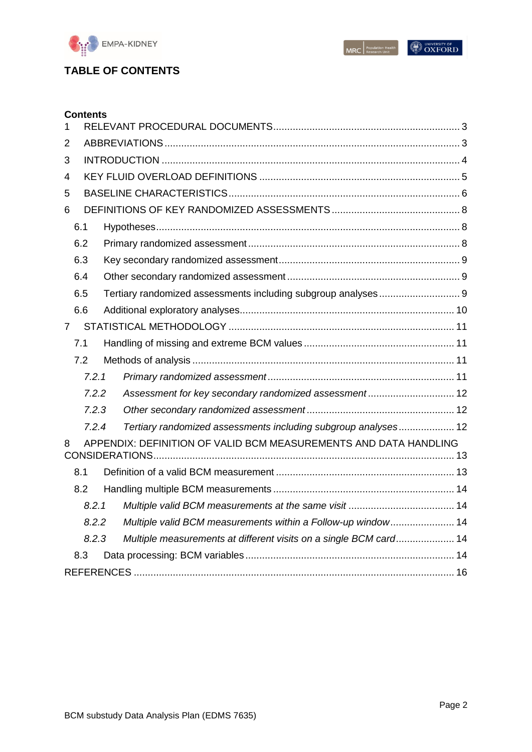

 $\begin{array}{|c|c|} \hline \textbf{MRC} & \textbf{Population Health} \\ \hline \textbf{MRC} & \textbf{Research Unit} \\ \hline \end{array}$ 

# **OXFORD**

# **TABLE OF CONTENTS**

| <b>Contents</b> |                                                                   |  |
|-----------------|-------------------------------------------------------------------|--|
| 1               |                                                                   |  |
| 2               |                                                                   |  |
| 3               |                                                                   |  |
| 4               |                                                                   |  |
| 5               |                                                                   |  |
| 6               |                                                                   |  |
| 6.1             |                                                                   |  |
| 6.2             |                                                                   |  |
| 6.3             |                                                                   |  |
| 6.4             |                                                                   |  |
| 6.5             | Tertiary randomized assessments including subgroup analyses 9     |  |
| 6.6             |                                                                   |  |
| $\overline{7}$  |                                                                   |  |
| 7.1             |                                                                   |  |
| 7.2             |                                                                   |  |
| 7.2.1           |                                                                   |  |
| 7.2.2           | Assessment for key secondary randomized assessment 12             |  |
| 7.2.3           |                                                                   |  |
| 7.2.4           | Tertiary randomized assessments including subgroup analyses 12    |  |
| 8               | APPENDIX: DEFINITION OF VALID BCM MEASUREMENTS AND DATA HANDLING  |  |
| 8.1             |                                                                   |  |
| 8.2             |                                                                   |  |
| 8.2.1           |                                                                   |  |
| 8.2.2           | Multiple valid BCM measurements within a Follow-up window 14      |  |
| 8.2.3           | Multiple measurements at different visits on a single BCM card 14 |  |
| 8.3             |                                                                   |  |
|                 |                                                                   |  |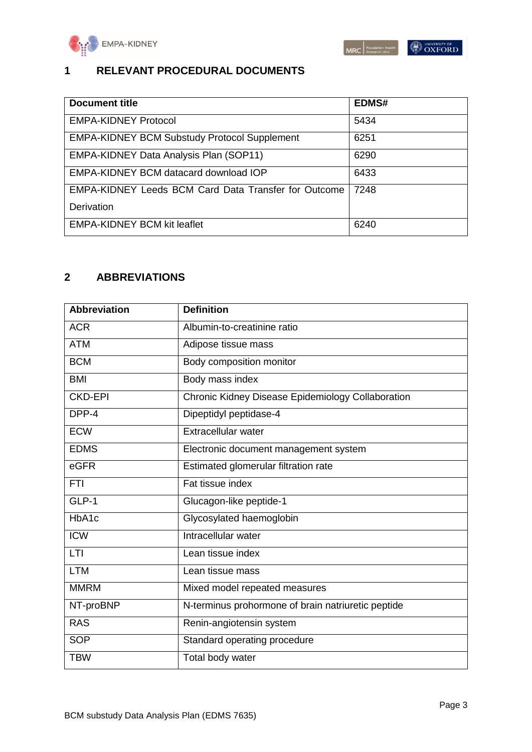

## <span id="page-2-0"></span>**1 RELEVANT PROCEDURAL DOCUMENTS**

| <b>Document title</b>                                       | <b>EDMS#</b> |
|-------------------------------------------------------------|--------------|
| <b>EMPA-KIDNEY Protocol</b>                                 | 5434         |
| <b>EMPA-KIDNEY BCM Substudy Protocol Supplement</b>         | 6251         |
| <b>EMPA-KIDNEY Data Analysis Plan (SOP11)</b>               | 6290         |
| EMPA-KIDNEY BCM datacard download IOP                       | 6433         |
| <b>EMPA-KIDNEY Leeds BCM Card Data Transfer for Outcome</b> | 7248         |
| <b>Derivation</b>                                           |              |
| <b>EMPA-KIDNEY BCM kit leaflet</b>                          | 6240         |

### <span id="page-2-1"></span>**2 ABBREVIATIONS**

| <b>Abbreviation</b> | <b>Definition</b>                                  |
|---------------------|----------------------------------------------------|
| <b>ACR</b>          | Albumin-to-creatinine ratio                        |
| <b>ATM</b>          | Adipose tissue mass                                |
| <b>BCM</b>          | Body composition monitor                           |
| <b>BMI</b>          | Body mass index                                    |
| <b>CKD-EPI</b>      | Chronic Kidney Disease Epidemiology Collaboration  |
| DPP-4               | Dipeptidyl peptidase-4                             |
| <b>ECW</b>          | <b>Extracellular water</b>                         |
| <b>EDMS</b>         | Electronic document management system              |
| eGFR                | Estimated glomerular filtration rate               |
| <b>FTI</b>          | Fat tissue index                                   |
| GLP-1               | Glucagon-like peptide-1                            |
| HbA1c               | Glycosylated haemoglobin                           |
| $\overline{ICW}$    | Intracellular water                                |
| LTI                 | Lean tissue index                                  |
| <b>LTM</b>          | Lean tissue mass                                   |
| <b>MMRM</b>         | Mixed model repeated measures                      |
| NT-proBNP           | N-terminus prohormone of brain natriuretic peptide |
| <b>RAS</b>          | Renin-angiotensin system                           |
| <b>SOP</b>          | Standard operating procedure                       |
| <b>TBW</b>          | Total body water                                   |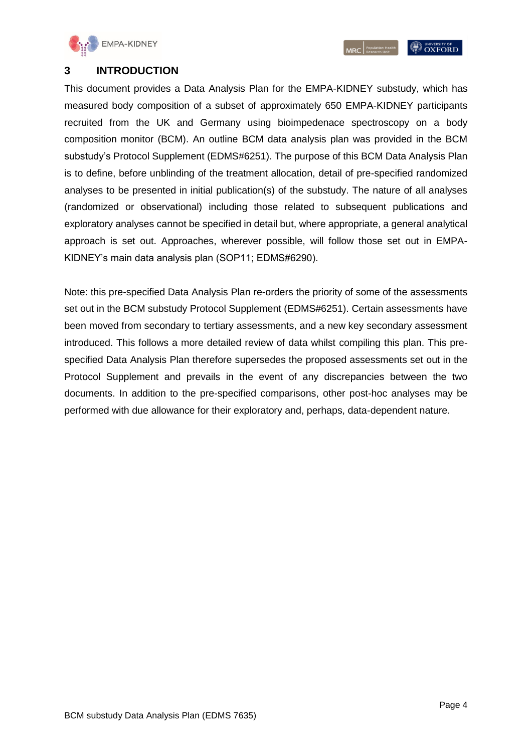

**OXFORD** 

#### <span id="page-3-0"></span>**3 INTRODUCTION**

This document provides a Data Analysis Plan for the EMPA-KIDNEY substudy, which has measured body composition of a subset of approximately 650 EMPA-KIDNEY participants recruited from the UK and Germany using bioimpedenace spectroscopy on a body composition monitor (BCM). An outline BCM data analysis plan was provided in the BCM substudy's Protocol Supplement (EDMS#6251). The purpose of this BCM Data Analysis Plan is to define, before unblinding of the treatment allocation, detail of pre-specified randomized analyses to be presented in initial publication(s) of the substudy. The nature of all analyses (randomized or observational) including those related to subsequent publications and exploratory analyses cannot be specified in detail but, where appropriate, a general analytical approach is set out. Approaches, wherever possible, will follow those set out in EMPA-KIDNEY's main data analysis plan (SOP11; EDMS#6290).

Note: this pre-specified Data Analysis Plan re-orders the priority of some of the assessments set out in the BCM substudy Protocol Supplement (EDMS#6251). Certain assessments have been moved from secondary to tertiary assessments, and a new key secondary assessment introduced. This follows a more detailed review of data whilst compiling this plan. This prespecified Data Analysis Plan therefore supersedes the proposed assessments set out in the Protocol Supplement and prevails in the event of any discrepancies between the two documents. In addition to the pre-specified comparisons, other post-hoc analyses may be performed with due allowance for their exploratory and, perhaps, data-dependent nature.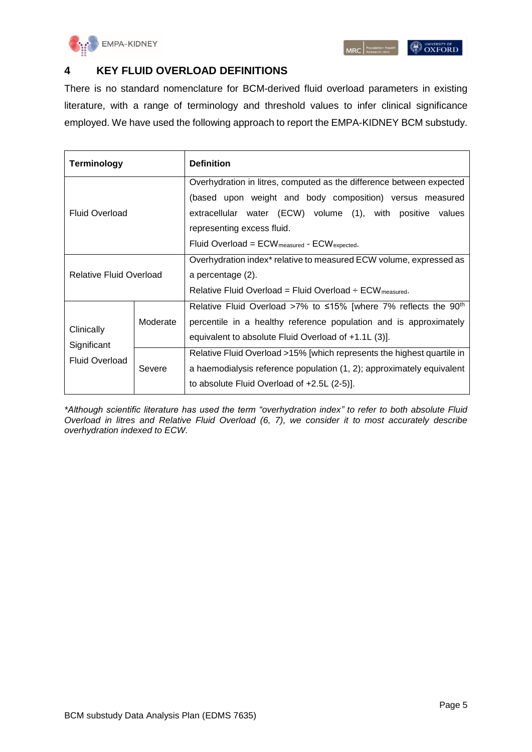

#### <span id="page-4-0"></span>**4 KEY FLUID OVERLOAD DEFINITIONS**

There is no standard nomenclature for BCM-derived fluid overload parameters in existing literature, with a range of terminology and threshold values to infer clinical significance employed. We have used the following approach to report the EMPA-KIDNEY BCM substudy.

| <b>Terminology</b>             |          | <b>Definition</b>                                                                                                                                                                                                                                                                      |  |
|--------------------------------|----------|----------------------------------------------------------------------------------------------------------------------------------------------------------------------------------------------------------------------------------------------------------------------------------------|--|
| <b>Fluid Overload</b>          |          | Overhydration in litres, computed as the difference between expected<br>(based upon weight and body composition) versus measured<br>extracellular water (ECW) volume (1), with positive values<br>representing excess fluid.<br>Fluid Overload = $ECW_{measured}$ - $ECW_{expected}$ . |  |
| <b>Relative Fluid Overload</b> |          | Overhydration index <sup>*</sup> relative to measured ECW volume, expressed as<br>a percentage (2).<br>Relative Fluid Overload = Fluid Overload $\div$ ECW measured.                                                                                                                   |  |
| Clinically<br>Significant      | Moderate | Relative Fluid Overload >7% to $\leq 15\%$ [where 7% reflects the 90 <sup>th</sup><br>percentile in a healthy reference population and is approximately<br>equivalent to absolute Fluid Overload of +1.1L (3)].                                                                        |  |
| <b>Fluid Overload</b>          | Severe   | Relative Fluid Overload >15% [which represents the highest quartile in<br>a haemodialysis reference population (1, 2); approximately equivalent<br>to absolute Fluid Overload of +2.5L (2-5)].                                                                                         |  |

*\*Although scientific literature has used the term "overhydration index" to refer to both absolute Fluid Overload in litres and Relative Fluid Overload (6, 7), we consider it to most accurately describe overhydration indexed to ECW.*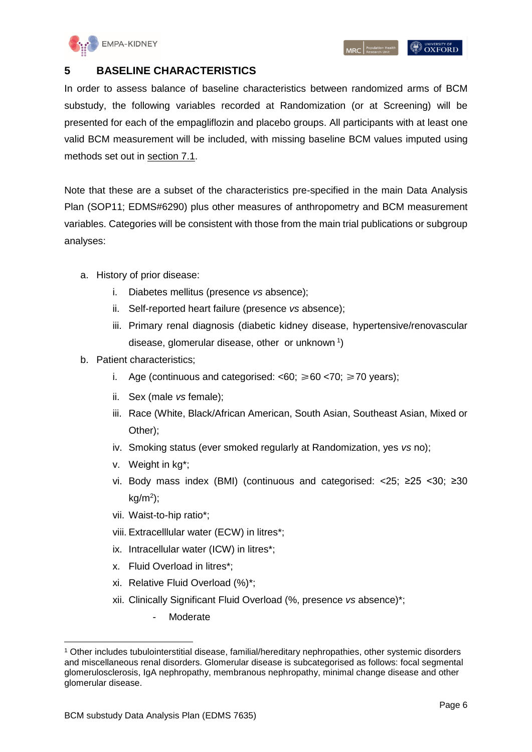

#### <span id="page-5-0"></span>**5 BASELINE CHARACTERISTICS**

In order to assess balance of baseline characteristics between randomized arms of BCM substudy, the following variables recorded at Randomization (or at Screening) will be presented for each of the empagliflozin and placebo groups. All participants with at least one valid BCM measurement will be included, with missing baseline BCM values imputed using methods set out in [section 7.1.](#page-10-1)

Note that these are a subset of the characteristics pre-specified in the main Data Analysis Plan (SOP11; EDMS#6290) plus other measures of anthropometry and BCM measurement variables. Categories will be consistent with those from the main trial publications or subgroup analyses:

- a. History of prior disease:
	- i. Diabetes mellitus (presence *vs* absence);
	- ii. Self-reported heart failure (presence *vs* absence);
	- iii. Primary renal diagnosis (diabetic kidney disease, hypertensive/renovascular disease, glomerular disease, other or unknown<sup>1</sup>)
- b. Patient characteristics;
	- i. Age (continuous and categorised:  $<60$ ;  $\geq 60$   $<70$ ;  $\geq 70$  years);
	- ii. Sex (male *vs* female);
	- iii. Race (White, Black/African American, South Asian, Southeast Asian, Mixed or Other);
	- iv. Smoking status (ever smoked regularly at Randomization, yes *vs* no);
	- v. Weight in kg\*;
	- vi. Body mass index (BMI) (continuous and categorised: <25; ≥25 <30; ≥30  $kg/m<sup>2</sup>)$ ;
	- vii. Waist-to-hip ratio\*;
	- viii. Extracelllular water (ECW) in litres\*;
	- ix. Intracellular water (ICW) in litres\*;
	- x. Fluid Overload in litres\*;
	- xi. Relative Fluid Overload (%)\*;
	- xii. Clinically Significant Fluid Overload (%, presence *vs* absence)\*;
		- **Moderate**

-

<sup>1</sup> Other includes tubulointerstitial disease, familial/hereditary nephropathies, other systemic disorders and miscellaneous renal disorders. Glomerular disease is subcategorised as follows: focal segmental glomerulosclerosis, IgA nephropathy, membranous nephropathy, minimal change disease and other glomerular disease.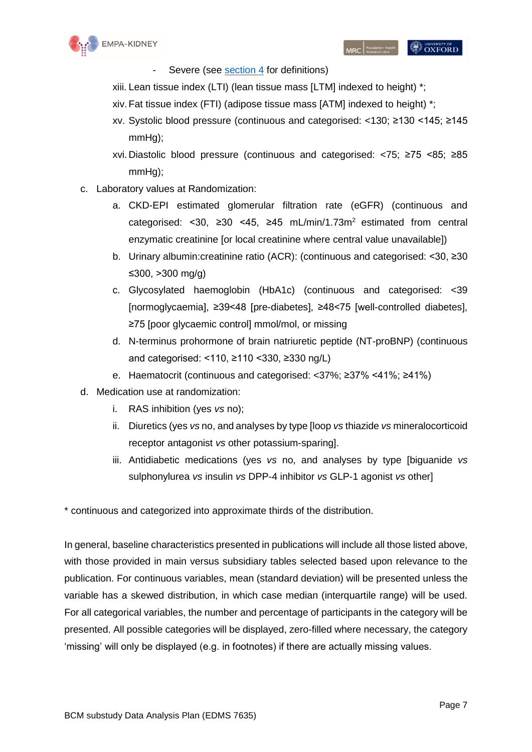

- Severe (see [section 4](#page-4-0) for definitions)
- xiii. Lean tissue index (LTI) (lean tissue mass [LTM] indexed to height) \*;
- xiv.Fat tissue index (FTI) (adipose tissue mass [ATM] indexed to height) \*;
- xv. Systolic blood pressure (continuous and categorised: <130; ≥130 <145; ≥145 mmHg);
- xvi. Diastolic blood pressure (continuous and categorised: <75; ≥75 <85; ≥85 mmHg);
- c. Laboratory values at Randomization:
	- a. CKD-EPI estimated glomerular filtration rate (eGFR) (continuous and categorised: <30, ≥30 <45, ≥45 mL/min/1.73m<sup>2</sup> estimated from central enzymatic creatinine [or local creatinine where central value unavailable])
	- b. Urinary albumin:creatinine ratio (ACR): (continuous and categorised: <30, ≥30 ≤300, >300 mg/g)
	- c. Glycosylated haemoglobin (HbA1c) (continuous and categorised: <39 [normoglycaemia], ≥39<48 [pre-diabetes], ≥48<75 [well-controlled diabetes], ≥75 [poor glycaemic control] mmol/mol, or missing
	- d. N-terminus prohormone of brain natriuretic peptide (NT-proBNP) (continuous and categorised: <110, ≥110 <330, ≥330 ng/L)
	- e. Haematocrit (continuous and categorised: <37%; ≥37% <41%; ≥41%)
- d. Medication use at randomization:
	- i. RAS inhibition (yes *vs* no);
	- ii. Diuretics (yes *vs* no, and analyses by type [loop *vs* thiazide *vs* mineralocorticoid receptor antagonist *vs* other potassium-sparing].
	- iii. Antidiabetic medications (yes *vs* no, and analyses by type [biguanide *vs* sulphonylurea *vs* insulin *vs* DPP-4 inhibitor *vs* GLP-1 agonist *vs* other]

\* continuous and categorized into approximate thirds of the distribution.

In general, baseline characteristics presented in publications will include all those listed above, with those provided in main versus subsidiary tables selected based upon relevance to the publication. For continuous variables, mean (standard deviation) will be presented unless the variable has a skewed distribution, in which case median (interquartile range) will be used. For all categorical variables, the number and percentage of participants in the category will be presented. All possible categories will be displayed, zero-filled where necessary, the category 'missing' will only be displayed (e.g. in footnotes) if there are actually missing values.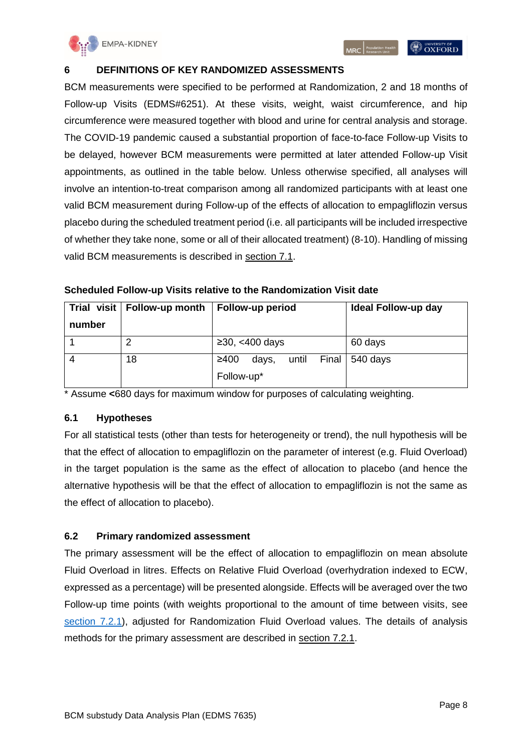

#### <span id="page-7-0"></span>**6 DEFINITIONS OF KEY RANDOMIZED ASSESSMENTS**

BCM measurements were specified to be performed at Randomization, 2 and 18 months of Follow-up Visits (EDMS#6251). At these visits, weight, waist circumference, and hip circumference were measured together with blood and urine for central analysis and storage. The COVID-19 pandemic caused a substantial proportion of face-to-face Follow-up Visits to be delayed, however BCM measurements were permitted at later attended Follow-up Visit appointments, as outlined in the table below. Unless otherwise specified, all analyses will involve an intention-to-treat comparison among all randomized participants with at least one valid BCM measurement during Follow-up of the effects of allocation to empagliflozin versus placebo during the scheduled treatment period (i.e. all participants will be included irrespective of whether they take none, some or all of their allocated treatment) (8-10). Handling of missing valid BCM measurements is described in [section 7.1.](#page-10-1)

|        | Trial visit   Follow-up month | Follow-up period             | Ideal Follow-up day |
|--------|-------------------------------|------------------------------|---------------------|
| number |                               |                              |                     |
|        |                               | $\geq$ 30, <400 days         | 60 days             |
|        | 18                            | ≥400<br>until Final<br>days, | 540 days            |
|        |                               | Follow-up*                   |                     |

**Scheduled Follow-up Visits relative to the Randomization Visit date**

\* Assume **<**680 days for maximum window for purposes of calculating weighting.

#### <span id="page-7-1"></span>**6.1 Hypotheses**

For all statistical tests (other than tests for heterogeneity or trend), the null hypothesis will be that the effect of allocation to empagliflozin on the parameter of interest (e.g. Fluid Overload) in the target population is the same as the effect of allocation to placebo (and hence the alternative hypothesis will be that the effect of allocation to empagliflozin is not the same as the effect of allocation to placebo).

#### <span id="page-7-2"></span>**6.2 Primary randomized assessment**

The primary assessment will be the effect of allocation to empagliflozin on mean absolute Fluid Overload in litres. Effects on Relative Fluid Overload (overhydration indexed to ECW, expressed as a percentage) will be presented alongside. Effects will be averaged over the two Follow-up time points (with weights proportional to the amount of time between visits, see [section 7.2.1\)](#page-10-3), adjusted for Randomization Fluid Overload values. The details of analysis methods for the primary assessment are described in [section 7.2.1.](#page-10-3)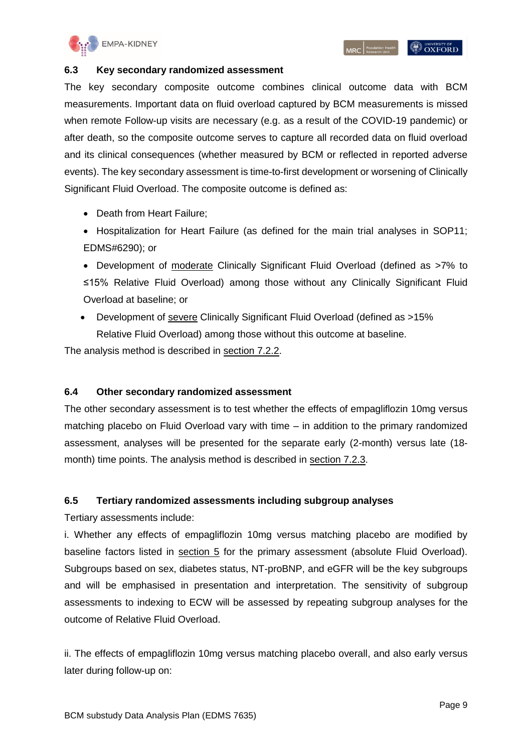

#### <span id="page-8-0"></span>**6.3 Key secondary randomized assessment**

The key secondary composite outcome combines clinical outcome data with BCM measurements. Important data on fluid overload captured by BCM measurements is missed when remote Follow-up visits are necessary (e.g. as a result of the COVID-19 pandemic) or after death, so the composite outcome serves to capture all recorded data on fluid overload and its clinical consequences (whether measured by BCM or reflected in reported adverse events). The key secondary assessment is time-to-first development or worsening of Clinically Significant Fluid Overload. The composite outcome is defined as:

- Death from Heart Failure;
- Hospitalization for Heart Failure (as defined for the main trial analyses in SOP11; EDMS#6290); or
- Development of moderate Clinically Significant Fluid Overload (defined as >7% to ≤15% Relative Fluid Overload) among those without any Clinically Significant Fluid Overload at baseline; or
- Development of severe Clinically Significant Fluid Overload (defined as >15% Relative Fluid Overload) among those without this outcome at baseline.

The analysis method is described in [section 7.2.2.](#page-11-0)

#### <span id="page-8-1"></span>**6.4 Other secondary randomized assessment**

The other secondary assessment is to test whether the effects of empagliflozin 10mg versus matching placebo on Fluid Overload vary with time – in addition to the primary randomized assessment, analyses will be presented for the separate early (2-month) versus late (18 month) time points. The analysis method is described in [section 7.2.3.](#page-11-1)

#### <span id="page-8-2"></span>**6.5 Tertiary randomized assessments including subgroup analyses**

Tertiary assessments include:

i. Whether any effects of empagliflozin 10mg versus matching placebo are modified by baseline factors listed in [section 5](#page-5-0) for the primary assessment (absolute Fluid Overload). Subgroups based on sex, diabetes status, NT-proBNP, and eGFR will be the key subgroups and will be emphasised in presentation and interpretation. The sensitivity of subgroup assessments to indexing to ECW will be assessed by repeating subgroup analyses for the outcome of Relative Fluid Overload.

ii. The effects of empagliflozin 10mg versus matching placebo overall, and also early versus later during follow-up on: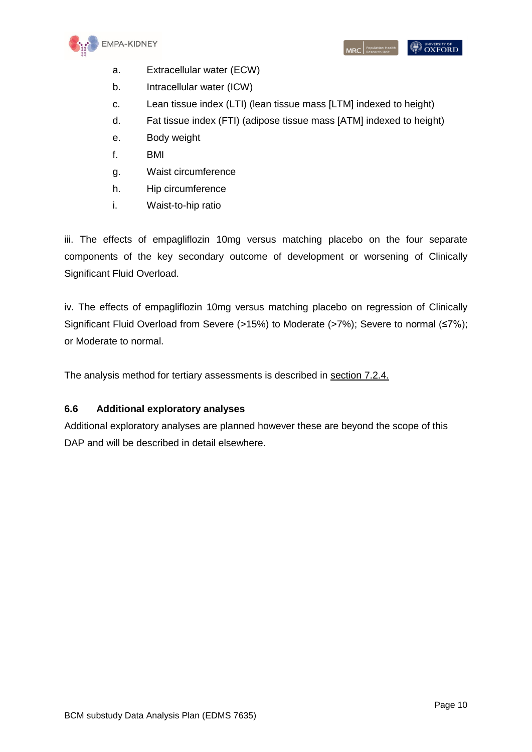

- a. Extracellular water (ECW)
- b. Intracellular water (ICW)
- c. Lean tissue index (LTI) (lean tissue mass [LTM] indexed to height)
- d. Fat tissue index (FTI) (adipose tissue mass [ATM] indexed to height)
- e. Body weight
- f. BMI
- g. Waist circumference
- h. Hip circumference
- i. Waist-to-hip ratio

iii. The effects of empagliflozin 10mg versus matching placebo on the four separate components of the key secondary outcome of development or worsening of Clinically Significant Fluid Overload.

iv. The effects of empagliflozin 10mg versus matching placebo on regression of Clinically Significant Fluid Overload from Severe (>15%) to Moderate (>7%); Severe to normal (≤7%); or Moderate to normal.

The analysis method for tertiary assessments is described in [section 7.2.4.](#page-11-2)

#### <span id="page-9-0"></span>**6.6 Additional exploratory analyses**

Additional exploratory analyses are planned however these are beyond the scope of this DAP and will be described in detail elsewhere.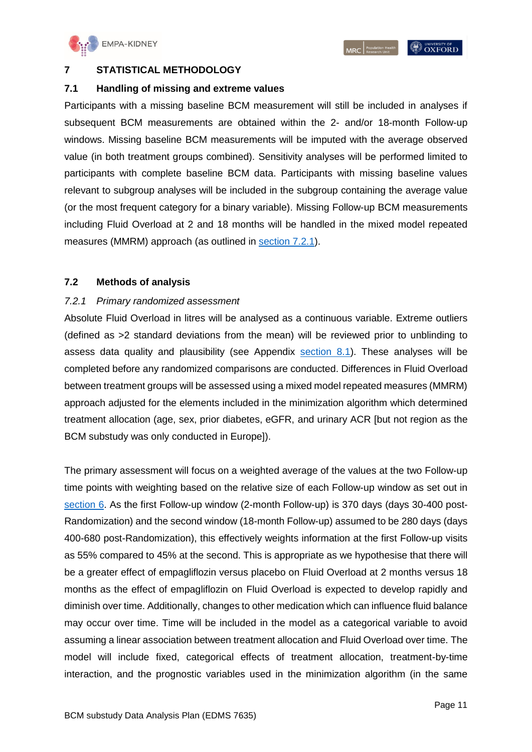

#### <span id="page-10-0"></span>**7 STATISTICAL METHODOLOGY**

#### <span id="page-10-1"></span>**7.1 Handling of missing and extreme values**

Participants with a missing baseline BCM measurement will still be included in analyses if subsequent BCM measurements are obtained within the 2- and/or 18-month Follow-up windows. Missing baseline BCM measurements will be imputed with the average observed value (in both treatment groups combined). Sensitivity analyses will be performed limited to participants with complete baseline BCM data. Participants with missing baseline values relevant to subgroup analyses will be included in the subgroup containing the average value (or the most frequent category for a binary variable). Missing Follow-up BCM measurements including Fluid Overload at 2 and 18 months will be handled in the mixed model repeated measures (MMRM) approach (as outlined in [section 7.2.1\)](#page-10-3).

#### <span id="page-10-2"></span>**7.2 Methods of analysis**

#### <span id="page-10-3"></span>*7.2.1 Primary randomized assessment*

Absolute Fluid Overload in litres will be analysed as a continuous variable. Extreme outliers (defined as >2 standard deviations from the mean) will be reviewed prior to unblinding to assess data quality and plausibility (see Appendix section  $8.1$ ). These analyses will be completed before any randomized comparisons are conducted. Differences in Fluid Overload between treatment groups will be assessed using a mixed model repeated measures (MMRM) approach adjusted for the elements included in the minimization algorithm which determined treatment allocation (age, sex, prior diabetes, eGFR, and urinary ACR [but not region as the BCM substudy was only conducted in Europe]).

The primary assessment will focus on a weighted average of the values at the two Follow-up time points with weighting based on the relative size of each Follow-up window as set out in [section 6.](#page-7-0) As the first Follow-up window (2-month Follow-up) is 370 days (days 30-400 post-Randomization) and the second window (18-month Follow-up) assumed to be 280 days (days 400-680 post-Randomization), this effectively weights information at the first Follow-up visits as 55% compared to 45% at the second. This is appropriate as we hypothesise that there will be a greater effect of empagliflozin versus placebo on Fluid Overload at 2 months versus 18 months as the effect of empagliflozin on Fluid Overload is expected to develop rapidly and diminish over time. Additionally, changes to other medication which can influence fluid balance may occur over time. Time will be included in the model as a categorical variable to avoid assuming a linear association between treatment allocation and Fluid Overload over time. The model will include fixed, categorical effects of treatment allocation, treatment-by-time interaction, and the prognostic variables used in the minimization algorithm (in the same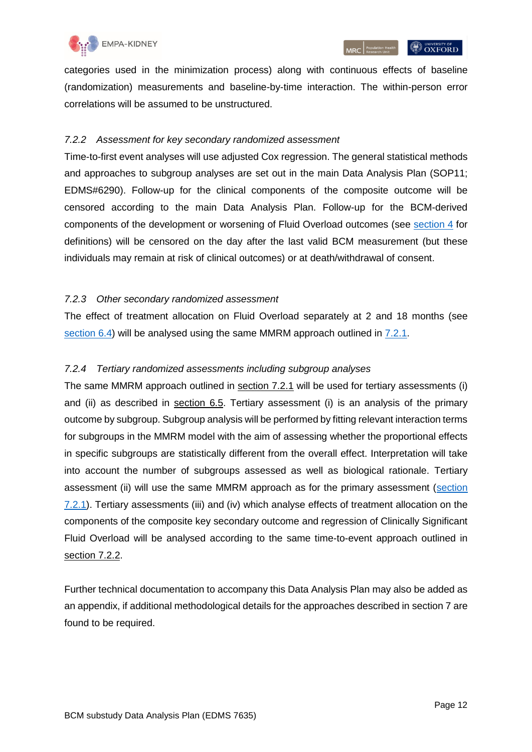

**OXFORD** 

#### <span id="page-11-0"></span>*7.2.2 Assessment for key secondary randomized assessment*

Time-to-first event analyses will use adjusted Cox regression. The general statistical methods and approaches to subgroup analyses are set out in the main Data Analysis Plan (SOP11; EDMS#6290). Follow-up for the clinical components of the composite outcome will be censored according to the main Data Analysis Plan. Follow-up for the BCM-derived components of the development or worsening of Fluid Overload outcomes (see [section 4](#page-4-0) for definitions) will be censored on the day after the last valid BCM measurement (but these individuals may remain at risk of clinical outcomes) or at death/withdrawal of consent.

#### <span id="page-11-1"></span>*7.2.3 Other secondary randomized assessment*

The effect of treatment allocation on Fluid Overload separately at 2 and 18 months (see [section 6.4\)](#page-8-1) will be analysed using the same MMRM approach outlined in [7.2.1.](#page-10-3)

#### <span id="page-11-2"></span>*7.2.4 Tertiary randomized assessments including subgroup analyses*

The same MMRM approach outlined in [section 7.2.1](#page-10-3) will be used for tertiary assessments (i) and (ii) as described in [section 6.5.](#page-8-2) Tertiary assessment (i) is an analysis of the primary outcome by subgroup. Subgroup analysis will be performed by fitting relevant interaction terms for subgroups in the MMRM model with the aim of assessing whether the proportional effects in specific subgroups are statistically different from the overall effect. Interpretation will take into account the number of subgroups assessed as well as biological rationale. Tertiary assessment (ii) will use the same MMRM approach as for the primary assessment [\(section](#page-10-3)  [7.2.1\)](#page-10-3). Tertiary assessments (iii) and (iv) which analyse effects of treatment allocation on the components of the composite key secondary outcome and regression of Clinically Significant Fluid Overload will be analysed according to the same time-to-event approach outlined in [section 7.2.2.](#page-11-0)

Further technical documentation to accompany this Data Analysis Plan may also be added as an appendix, if additional methodological details for the approaches described in section 7 are found to be required.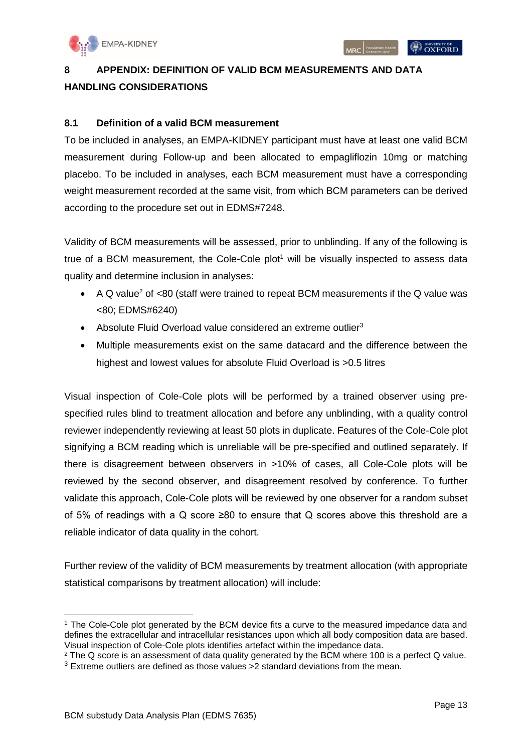# <span id="page-12-0"></span>**8 APPENDIX: DEFINITION OF VALID BCM MEASUREMENTS AND DATA HANDLING CONSIDERATIONS**

#### <span id="page-12-1"></span>**8.1 Definition of a valid BCM measurement**

To be included in analyses, an EMPA-KIDNEY participant must have at least one valid BCM measurement during Follow-up and been allocated to empagliflozin 10mg or matching placebo. To be included in analyses, each BCM measurement must have a corresponding weight measurement recorded at the same visit, from which BCM parameters can be derived according to the procedure set out in EDMS#7248.

Validity of BCM measurements will be assessed, prior to unblinding. If any of the following is true of a BCM measurement, the Cole-Cole plot<sup>1</sup> will be visually inspected to assess data quality and determine inclusion in analyses:

- A Q value<sup>2</sup> of  $<80$  (staff were trained to repeat BCM measurements if the Q value was <80; EDMS#6240)
- Absolute Fluid Overload value considered an extreme outlier<sup>3</sup>
- Multiple measurements exist on the same datacard and the difference between the highest and lowest values for absolute Fluid Overload is >0.5 litres

Visual inspection of Cole-Cole plots will be performed by a trained observer using prespecified rules blind to treatment allocation and before any unblinding, with a quality control reviewer independently reviewing at least 50 plots in duplicate. Features of the Cole-Cole plot signifying a BCM reading which is unreliable will be pre-specified and outlined separately. If there is disagreement between observers in >10% of cases, all Cole-Cole plots will be reviewed by the second observer, and disagreement resolved by conference. To further validate this approach, Cole-Cole plots will be reviewed by one observer for a random subset of 5% of readings with a Q score ≥80 to ensure that Q scores above this threshold are a reliable indicator of data quality in the cohort.

Further review of the validity of BCM measurements by treatment allocation (with appropriate statistical comparisons by treatment allocation) will include:

<sup>-</sup><sup>1</sup> The Cole-Cole plot generated by the BCM device fits a curve to the measured impedance data and defines the extracellular and intracellular resistances upon which all body composition data are based. Visual inspection of Cole-Cole plots identifies artefact within the impedance data.

<sup>&</sup>lt;sup>2</sup> The Q score is an assessment of data quality generated by the BCM where 100 is a perfect Q value.  $3$  Extreme outliers are defined as those values  $>2$  standard deviations from the mean.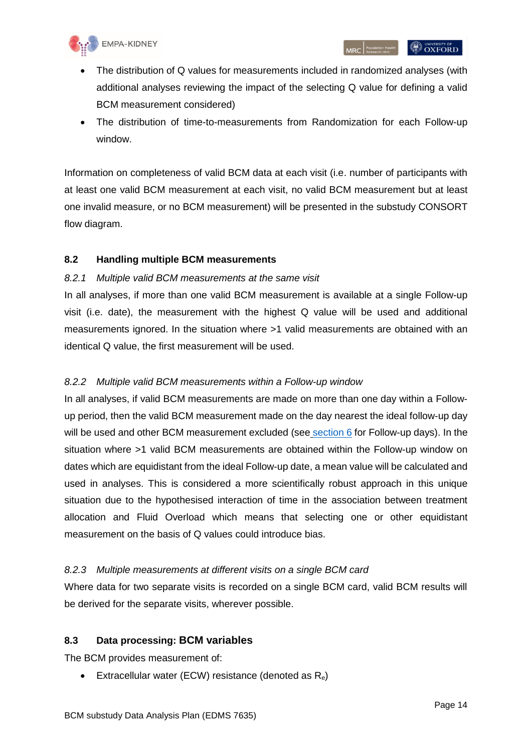

- The distribution of Q values for measurements included in randomized analyses (with additional analyses reviewing the impact of the selecting Q value for defining a valid BCM measurement considered)
- The distribution of time-to-measurements from Randomization for each Follow-up window.

Information on completeness of valid BCM data at each visit (i.e. number of participants with at least one valid BCM measurement at each visit, no valid BCM measurement but at least one invalid measure, or no BCM measurement) will be presented in the substudy CONSORT flow diagram.

#### <span id="page-13-0"></span>**8.2 Handling multiple BCM measurements**

#### <span id="page-13-1"></span>*8.2.1 Multiple valid BCM measurements at the same visit*

In all analyses, if more than one valid BCM measurement is available at a single Follow-up visit (i.e. date), the measurement with the highest Q value will be used and additional measurements ignored. In the situation where >1 valid measurements are obtained with an identical Q value, the first measurement will be used.

#### <span id="page-13-2"></span>*8.2.2 Multiple valid BCM measurements within a Follow-up window*

In all analyses, if valid BCM measurements are made on more than one day within a Followup period, then the valid BCM measurement made on the day nearest the ideal follow-up day will be used and other BCM measurement excluded (see [section 6](#page-7-0) for Follow-up days). In the situation where >1 valid BCM measurements are obtained within the Follow-up window on dates which are equidistant from the ideal Follow-up date, a mean value will be calculated and used in analyses. This is considered a more scientifically robust approach in this unique situation due to the hypothesised interaction of time in the association between treatment allocation and Fluid Overload which means that selecting one or other equidistant measurement on the basis of Q values could introduce bias.

#### <span id="page-13-3"></span>*8.2.3 Multiple measurements at different visits on a single BCM card*

Where data for two separate visits is recorded on a single BCM card, valid BCM results will be derived for the separate visits, wherever possible.

#### <span id="page-13-4"></span>**8.3 Data processing: BCM variables**

The BCM provides measurement of:

Extracellular water (ECW) resistance (denoted as  $R_e$ )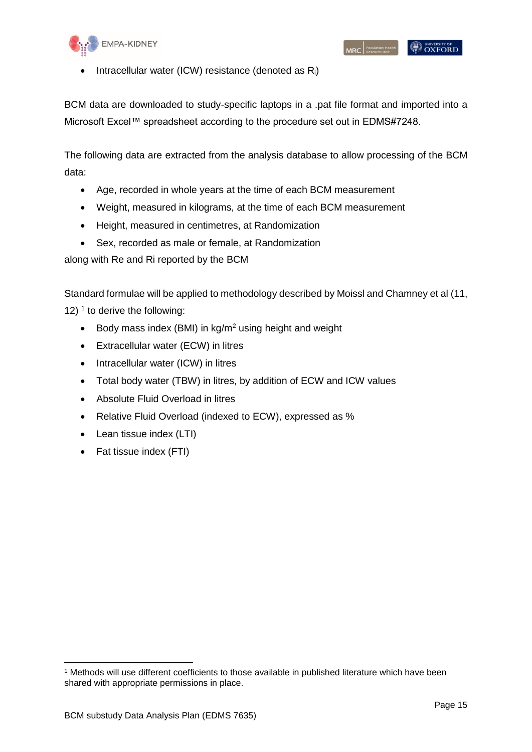

**OXFORD** 

Intracellular water (ICW) resistance (denoted as  $R_i$ )

BCM data are downloaded to study-specific laptops in a .pat file format and imported into a Microsoft Excel™ spreadsheet according to the procedure set out in EDMS#7248.

The following data are extracted from the analysis database to allow processing of the BCM data:

- Age, recorded in whole years at the time of each BCM measurement
- Weight, measured in kilograms, at the time of each BCM measurement
- Height, measured in centimetres, at Randomization
- Sex, recorded as male or female, at Randomization

along with Re and Ri reported by the BCM

Standard formulae will be applied to methodology described by Moissl and Chamney et al (11, 12)  $<sup>1</sup>$  to derive the following:</sup>

- Body mass index (BMI) in  $kg/m^2$  using height and weight
- Extracellular water (ECW) in litres
- Intracellular water (ICW) in litres
- Total body water (TBW) in litres, by addition of ECW and ICW values
- Absolute Fluid Overload in litres
- Relative Fluid Overload (indexed to ECW), expressed as %
- Lean tissue index (LTI)
- Fat tissue index (FTI)

-

<sup>1</sup> Methods will use different coefficients to those available in published literature which have been shared with appropriate permissions in place.